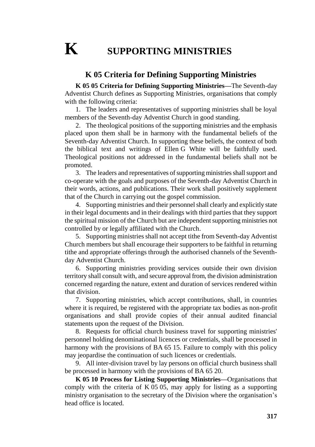## **K SUPPORTING MINISTRIES**

## **K 05 Criteria for Defining Supporting Ministries**

**K 05 05 Criteria for Defining Supporting Ministries—**The Seventh-day Adventist Church defines as Supporting Ministries, organisations that comply with the following criteria:

1. The leaders and representatives of supporting ministries shall be loyal members of the Seventh-day Adventist Church in good standing.

2. The theological positions of the supporting ministries and the emphasis placed upon them shall be in harmony with the fundamental beliefs of the Seventh-day Adventist Church. In supporting these beliefs, the context of both the biblical text and writings of Ellen G White will be faithfully used. Theological positions not addressed in the fundamental beliefs shall not be promoted.

3. The leaders and representatives of supporting ministries shall support and co-operate with the goals and purposes of the Seventh-day Adventist Church in their words, actions, and publications. Their work shall positively supplement that of the Church in carrying out the gospel commission.

4. Supporting ministries and their personnel shall clearly and explicitly state in their legal documents and in their dealings with third parties that they support the spiritual mission of the Church but are independent supporting ministries not controlled by or legally affiliated with the Church.

5. Supporting ministries shall not accept tithe from Seventh-day Adventist Church members but shall encourage their supporters to be faithful in returning tithe and appropriate offerings through the authorised channels of the Seventhday Adventist Church.

6. Supporting ministries providing services outside their own division territory shall consult with, and secure approval from, the division administration concerned regarding the nature, extent and duration of services rendered within that division.

7. Supporting ministries, which accept contributions, shall, in countries where it is required, be registered with the appropriate tax bodies as non-profit organisations and shall provide copies of their annual audited financial statements upon the request of the Division.

8. Requests for official church business travel for supporting ministries' personnel holding denominational licences or credentials, shall be processed in harmony with the provisions of BA 65 15. Failure to comply with this policy may jeopardise the continuation of such licences or credentials.

9. All inter-division travel by lay persons on official church business shall be processed in harmony with the provisions of BA 65 20.

**K 05 10 Process for Listing Supporting Ministries—**Organisations that comply with the criteria of K 05 05, may apply for listing as a supporting ministry organisation to the secretary of the Division where the organisation's head office is located.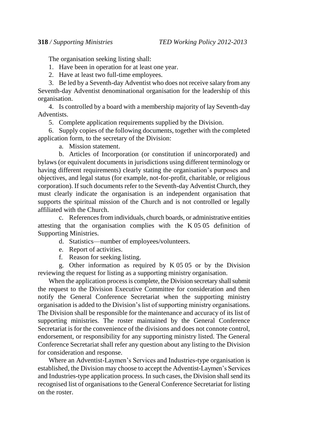The organisation seeking listing shall:

1. Have been in operation for at least one year.

2. Have at least two full-time employees.

3. Be led by a Seventh-day Adventist who does not receive salary from any Seventh-day Adventist denominational organisation for the leadership of this organisation.

4. Is controlled by a board with a membership majority of lay Seventh-day Adventists.

5. Complete application requirements supplied by the Division.

6. Supply copies of the following documents, together with the completed application form, to the secretary of the Division:

a. Mission statement.

b. Articles of Incorporation (or constitution if unincorporated) and bylaws (or equivalent documents in jurisdictions using different terminology or having different requirements) clearly stating the organisation's purposes and objectives, and legal status (for example, not-for-profit, charitable, or religious corporation). If such documents refer to the Seventh-day Adventist Church, they must clearly indicate the organisation is an independent organisation that supports the spiritual mission of the Church and is not controlled or legally affiliated with the Church.

c. References from individuals, church boards, or administrative entities attesting that the organisation complies with the K 05 05 definition of Supporting Ministries.

d. Statistics—number of employees/volunteers.

e. Report of activities.

f. Reason for seeking listing.

g. Other information as required by K 05 05 or by the Division reviewing the request for listing as a supporting ministry organisation.

When the application process is complete, the Division secretary shall submit the request to the Division Executive Committee for consideration and then notify the General Conference Secretariat when the supporting ministry organisation is added to the Division's list of supporting ministry organisations. The Division shall be responsible for the maintenance and accuracy of its list of supporting ministries. The roster maintained by the General Conference Secretariat is for the convenience of the divisions and does not connote control, endorsement, or responsibility for any supporting ministry listed. The General Conference Secretariat shall refer any question about any listing to the Division for consideration and response.

Where an Adventist-Laymen's Services and Industries-type organisation is established, the Division may choose to accept the Adventist-Laymen's Services and Industries-type application process. In such cases, the Division shall send its recognised list of organisations to the General Conference Secretariat for listing on the roster.